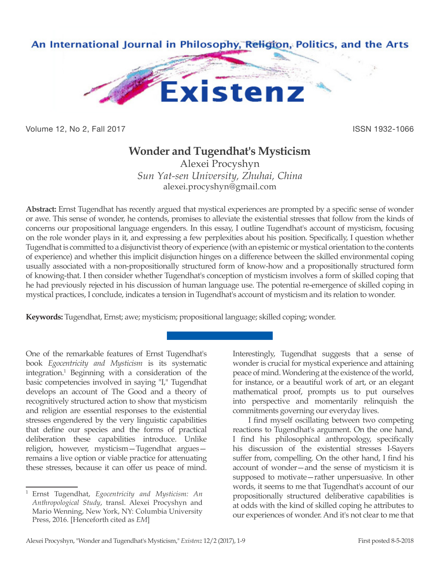

Volume 12, No 2, Fall 2017 **ISSN 1932-1066** 

# **Wonder and Tugendhat's Mysticism**

Alexei Procyshyn *Sun Yat-sen University, Zhuhai, China* alexei.procyshyn@gmail.com

**Abstract:** Ernst Tugendhat has recently argued that mystical experiences are prompted by a specific sense of wonder or awe. This sense of wonder, he contends, promises to alleviate the existential stresses that follow from the kinds of concerns our propositional language engenders. In this essay, I outline Tugendhat's account of mysticism, focusing on the role wonder plays in it, and expressing a few perplexities about his position. Specifically, I question whether Tugendhat is committed to a disjunctivist theory of experience (with an epistemic or mystical orientation to the contents of experience) and whether this implicit disjunction hinges on a difference between the skilled environmental coping usually associated with a non-propositionally structured form of know-how and a propositionally structured form of knowing-that. I then consider whether Tugendhat's conception of mysticism involves a form of skilled coping that he had previously rejected in his discussion of human language use. The potential re-emergence of skilled coping in mystical practices, I conclude, indicates a tension in Tugendhat's account of mysticism and its relation to wonder.

**Keywords:** Tugendhat, Ernst; awe; mysticism; propositional language; skilled coping; wonder.

One of the remarkable features of Ernst Tugendhat's book *Egocentricity and Mysticism* is its systematic integration.1 Beginning with a consideration of the basic competencies involved in saying "I," Tugendhat develops an account of The Good and a theory of recognitively structured action to show that mysticism and religion are essential responses to the existential stresses engendered by the very linguistic capabilities that define our species and the forms of practical deliberation these capabilities introduce. Unlike religion, however, mysticism—Tugendhat argues remains a live option or viable practice for attenuating these stresses, because it can offer us peace of mind.

Interestingly, Tugendhat suggests that a sense of wonder is crucial for mystical experience and attaining peace of mind. Wondering at the existence of the world, for instance, or a beautiful work of art, or an elegant mathematical proof, prompts us to put ourselves into perspective and momentarily relinquish the commitments governing our everyday lives.

I find myself oscillating between two competing reactions to Tugendhat's argument. On the one hand, I find his philosophical anthropology, specifically his discussion of the existential stresses I-Sayers suffer from, compelling. On the other hand, I find his account of wonder—and the sense of mysticism it is supposed to motivate—rather unpersuasive. In other words, it seems to me that Tugendhat's account of our propositionally structured deliberative capabilities is at odds with the kind of skilled coping he attributes to our experiences of wonder. And it's not clear to me that

<sup>1</sup> Ernst Tugendhat, *Egocentricity and Mysticism: An Anthropological Study*, transl. Alexei Procyshyn and Mario Wenning, New York, NY: Columbia University Press, 2016. [Henceforth cited as *EM*]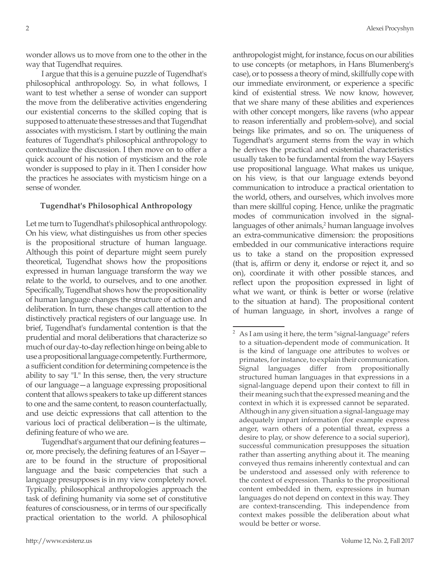wonder allows us to move from one to the other in the way that Tugendhat requires.

I argue that this is a genuine puzzle of Tugendhat's philosophical anthropology. So, in what follows, I want to test whether a sense of wonder can support the move from the deliberative activities engendering our existential concerns to the skilled coping that is supposed to attenuate these stresses and that Tugendhat associates with mysticism. I start by outlining the main features of Tugendhat's philosophical anthropology to contextualize the discussion. I then move on to offer a quick account of his notion of mysticism and the role wonder is supposed to play in it. Then I consider how the practices he associates with mysticism hinge on a sense of wonder.

## **Tugendhat's Philosophical Anthropology**

Let me turn to Tugendhat's philosophical anthropology. On his view, what distinguishes us from other species is the propositional structure of human language. Although this point of departure might seem purely theoretical, Tugendhat shows how the propositions expressed in human language transform the way we relate to the world, to ourselves, and to one another. Specifically, Tugendhat shows how the propositionality of human language changes the structure of action and deliberation. In turn, these changes call attention to the distinctively practical registers of our language use. In brief, Tugendhat's fundamental contention is that the prudential and moral deliberations that characterize so much of our day-to-day reflection hinge on being able to use a propositional language competently. Furthermore, a sufficient condition for determining competence is the ability to say "I." In this sense, then, the very structure of our language—a language expressing propositional content that allows speakers to take up different stances to one and the same content, to reason counterfactually, and use deictic expressions that call attention to the various loci of practical deliberation—is the ultimate, defining feature of who we are.

Tugendhat's argument that our defining features or, more precisely, the defining features of an I-Sayer are to be found in the structure of propositional language and the basic competencies that such a language presupposes is in my view completely novel. Typically, philosophical anthropologies approach the task of defining humanity via some set of constitutive features of consciousness, or in terms of our specifically practical orientation to the world. A philosophical

anthropologist might, for instance, focus on our abilities to use concepts (or metaphors, in Hans Blumenberg's case), or to possess a theory of mind, skillfully cope with our immediate environment, or experience a specific kind of existential stress. We now know, however, that we share many of these abilities and experiences with other concept mongers, like ravens (who appear to reason inferentially and problem-solve), and social beings like primates, and so on. The uniqueness of Tugendhat's argument stems from the way in which he derives the practical and existential characteristics usually taken to be fundamental from the way I-Sayers use propositional language. What makes us unique, on his view, is that our language extends beyond communication to introduce a practical orientation to the world, others, and ourselves, which involves more than mere skillful coping. Hence, unlike the pragmatic modes of communication involved in the signallanguages of other animals,<sup>2</sup> human language involves an extra-communicative dimension: the propositions embedded in our communicative interactions require us to take a stand on the proposition expressed (that is, affirm or deny it, endorse or reject it, and so on), coordinate it with other possible stances, and reflect upon the proposition expressed in light of what we want, or think is better or worse (relative to the situation at hand). The propositional content of human language, in short, involves a range of

As I am using it here, the term "signal-language" refers to a situation-dependent mode of communication. It is the kind of language one attributes to wolves or primates, for instance, to explain their communication. Signal languages differ from propositionally structured human languages in that expressions in a signal-language depend upon their context to fill in their meaning such that the expressed meaning and the context in which it is expressed cannot be separated. Although in any given situation a signal-language may adequately impart information (for example express anger, warn others of a potential threat, express a desire to play, or show deference to a social superior), successful communication presupposes the situation rather than asserting anything about it. The meaning conveyed thus remains inherently contextual and can be understood and assessed only with reference to the context of expression. Thanks to the propositional content embedded in them, expressions in human languages do not depend on context in this way. They are context-transcending. This independence from context makes possible the deliberation about what would be better or worse.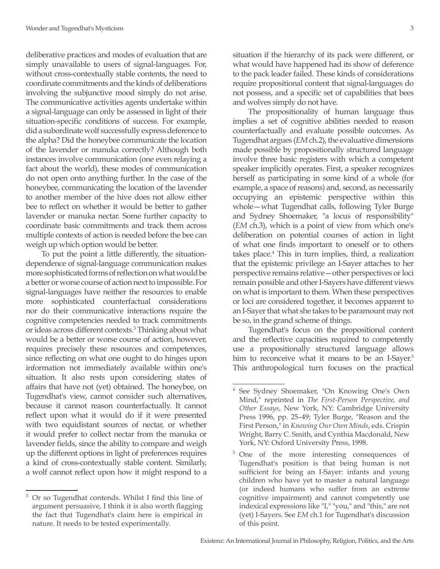deliberative practices and modes of evaluation that are simply unavailable to users of signal-languages. For, without cross-contextually stable contents, the need to coordinate commitments and the kinds of deliberations involving the subjunctive mood simply do not arise. The communicative activities agents undertake within a signal-language can only be assessed in light of their situation-specific conditions of success. For example, did a subordinate wolf successfully express deference to the alpha? Did the honeybee communicate the location of the lavender or manuka correctly? Although both instances involve communication (one even relaying a fact about the world), these modes of communication do not open onto anything further. In the case of the honeybee, communicating the location of the lavender to another member of the hive does not allow either bee to reflect on whether it would be better to gather lavender or manuka nectar. Some further capacity to coordinate basic commitments and track them across multiple contexts of action is needed before the bee can weigh up which option would be better.

To put the point a little differently, the situationdependence of signal-language communication makes more sophisticated forms of reflection on what would be a better or worse course of action next to impossible. For signal-languages have neither the resources to enable more sophisticated counterfactual considerations nor do their communicative interactions require the cognitive competencies needed to track commitments or ideas across different contexts.3 Thinking about what would be a better or worse course of action, however, requires precisely these resources and competences, since reflecting on what one ought to do hinges upon information not immediately available within one's situation. It also rests upon considering states of affairs that have not (yet) obtained. The honeybee, on Tugendhat's view, cannot consider such alternatives, because it cannot reason counterfactually. It cannot reflect upon what it would do if it were presented with two equidistant sources of nectar, or whether it would prefer to collect nectar from the manuka or lavender fields, since the ability to compare and weigh up the different options in light of preferences requires a kind of cross-contextually stable content. Similarly, a wolf cannot reflect upon how it might respond to a

Or so Tugendhat contends. Whilst I find this line of argument persuasive, I think it is also worth flagging the fact that Tugendhat's claim here is empirical in nature. It needs to be tested experimentally.

situation if the hierarchy of its pack were different, or what would have happened had its show of deference to the pack leader failed. These kinds of considerations require propositional content that signal-languages do not possess, and a specific set of capabilities that bees and wolves simply do not have.

The propositionality of human language thus implies a set of cognitive abilities needed to reason counterfactually and evaluate possible outcomes. As Tugendhat argues (*EM* ch.2), the evaluative dimensions made possible by propositionally structured language involve three basic registers with which a competent speaker implicitly operates. First, a speaker recognizes herself as participating in some kind of a whole (for example, a space of reasons) and, second, as necessarily occupying an epistemic perspective within this whole—what Tugendhat calls, following Tyler Burge and Sydney Shoemaker, "a locus of responsibility" (*EM* ch.3), which is a point of view from which one's deliberation on potential courses of action in light of what one finds important to oneself or to others takes place.<sup>4</sup> This in turn implies, third, a realization that the epistemic privilege an I-Sayer attaches to her perspective remains relative—other perspectives or loci remain possible and other I-Sayers have different views on what is important to them. When these perspectives or loci are considered together, it becomes apparent to an I-Sayer that what she takes to be paramount may not be so, in the grand scheme of things.

Tugendhat's focus on the propositional content and the reflective capacities required to competently use a propositionally structured language allows him to reconceive what it means to be an I-Sayer.<sup>5</sup> This anthropological turn focuses on the practical

<sup>4</sup> See Sydney Shoemaker, "On Knowing One's Own Mind," reprinted in *The First-Person Perspective, and Other Essays*, New York, NY: Cambridge University Press 1996, pp. 25–49; Tyler Burge, "Reason and the First Person," in *Knowing Our Own Minds*, eds. Crispin Wright, Barry C. Smith, and Cynthia Macdonald, New York, NY: Oxford University Press, 1998.

<sup>5</sup> One of the more interesting consequences of Tugendhat's position is that being human is not sufficient for being an I-Sayer: infants and young children who have yet to master a natural language (or indeed humans who suffer from an extreme cognitive impairment) and cannot competently use indexical expressions like "I," "you," and "this," are not (yet) I-Sayers. See *EM* ch.1 for Tugendhat's discussion of this point.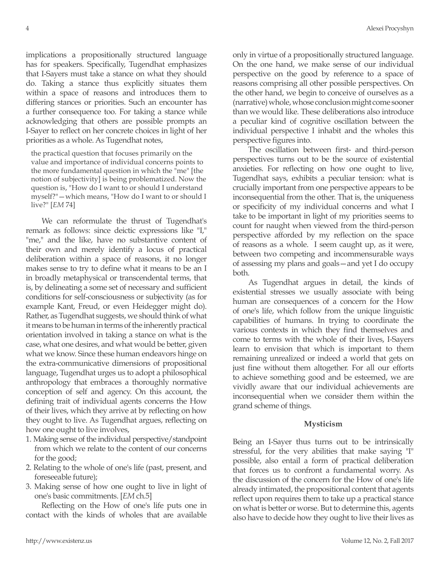implications a propositionally structured language has for speakers. Specifically, Tugendhat emphasizes that I-Sayers must take a stance on what they should do. Taking a stance thus explicitly situates them within a space of reasons and introduces them to differing stances or priorities. Such an encounter has a further consequence too. For taking a stance while acknowledging that others are possible prompts an I-Sayer to reflect on her concrete choices in light of her priorities as a whole. As Tugendhat notes,

the practical question that focuses primarily on the value and importance of individual concerns points to the more fundamental question in which the "me" [the notion of subjectivity] is being problematized. Now the question is, "How do I want to or should I understand myself?"—which means, "How do I want to or should I live?" [*EM* 74]

We can reformulate the thrust of Tugendhat's remark as follows: since deictic expressions like "I," "me," and the like, have no substantive content of their own and merely identify a locus of practical deliberation within a space of reasons, it no longer makes sense to try to define what it means to be an I in broadly metaphysical or transcendental terms, that is, by delineating a some set of necessary and sufficient conditions for self-consciousness or subjectivity (as for example Kant, Freud, or even Heidegger might do). Rather, as Tugendhat suggests, we should think of what it means to be human in terms of the inherently practical orientation involved in taking a stance on what is the case, what one desires, and what would be better, given what we know. Since these human endeavors hinge on the extra-communicative dimensions of propositional language, Tugendhat urges us to adopt a philosophical anthropology that embraces a thoroughly normative conception of self and agency. On this account, the defining trait of individual agents concerns the How of their lives, which they arrive at by reflecting on how they ought to live. As Tugendhat argues, reflecting on how one ought to live involves,

- 1. Making sense of the individual perspective/standpoint from which we relate to the content of our concerns for the good;
- 2. Relating to the whole of one's life (past, present, and foreseeable future);
- 3. Making sense of how one ought to live in light of one's basic commitments. [*EM* ch.5]

Reflecting on the How of one's life puts one in contact with the kinds of wholes that are available only in virtue of a propositionally structured language. On the one hand, we make sense of our individual perspective on the good by reference to a space of reasons comprising all other possible perspectives. On the other hand, we begin to conceive of ourselves as a (narrative) whole, whose conclusion might come sooner than we would like. These deliberations also introduce a peculiar kind of cognitive oscillation between the individual perspective I inhabit and the wholes this perspective figures into.

The oscillation between first- and third-person perspectives turns out to be the source of existential anxieties. For reflecting on how one ought to live, Tugendhat says, exhibits a peculiar tension: what is crucially important from one perspective appears to be inconsequential from the other. That is, the uniqueness or specificity of my individual concerns and what I take to be important in light of my priorities seems to count for naught when viewed from the third-person perspective afforded by my reflection on the space of reasons as a whole. I seem caught up, as it were, between two competing and incommensurable ways of assessing my plans and goals—and yet I do occupy both.

As Tugendhat argues in detail, the kinds of existential stresses we usually associate with being human are consequences of a concern for the How of one's life, which follow from the unique linguistic capabilities of humans. In trying to coordinate the various contexts in which they find themselves and come to terms with the whole of their lives, I-Sayers learn to envision that which is important to them remaining unrealized or indeed a world that gets on just fine without them altogether. For all our efforts to achieve something good and be esteemed, we are vividly aware that our individual achievements are inconsequential when we consider them within the grand scheme of things.

## **Mysticism**

Being an I-Sayer thus turns out to be intrinsically stressful, for the very abilities that make saying "I" possible, also entail a form of practical deliberation that forces us to confront a fundamental worry. As the discussion of the concern for the How of one's life already intimated, the propositional content that agents reflect upon requires them to take up a practical stance on what is better or worse. But to determine this, agents also have to decide how they ought to live their lives as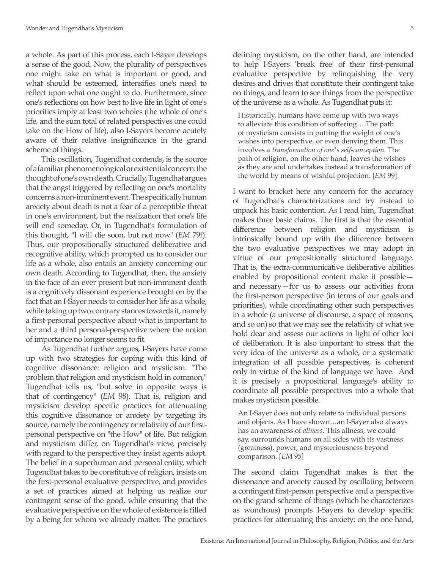a whole. As part of this process, each I-Sayer develops a sense of the good. Now, the plurality of perspectives one might take on what is important or good, and what should be esteemed, intensifies one's need to reflect upon what one ought to do. Furthermore, since one's reflections on how best to live life in light of one's priorities imply at least two wholes (the whole of one's life, and the sum total of related perspectives one could take on the How of life), also I-Sayers become acutely aware of their relative insignificance in the grand scheme of things.

This oscillation, Tugendhat contends, is the source of a familiar phenomenological or existential concern: the thought of one's own death. Crucially, Tugendhat argues that the angst triggered by reflecting on one's mortality concerns a non-imminent event. The specifically human anxiety about death is not a fear of a perceptible threat in one's environment, but the realization that one's life will end someday. Or, in Tugendhat's formulation of this thought, "I will die soon, but not now" (*EM* 79f). Thus, our propositionally structured deliberative and recognitive ability, which prompted us to consider our life as a whole, also entails an anxiety concerning our own death. According to Tugendhat, then, the anxiety in the face of an ever present but non-imminent death is a cognitively dissonant experience brought on by the fact that an I-Sayer needs to consider her life as a whole, while taking up two contrary stances towards it, namely a first-personal perspective about what is important to her and a third personal-perspective where the notion of importance no longer seems to fit.

As Tugendhat further argues, I-Sayers have come up with two strategies for coping with this kind of cognitive dissonance: religion and mysticism. "The problem that religion and mysticism hold in common," Tugendhat tells us, "but solve in opposite ways is that of contingency" (*EM* 98). That is, religion and mysticism develop specific practices for attenuating this cognitive dissonance or anxiety by targeting its source, namely the contingency or relativity of our firstpersonal perspective on "the How" of life. But religion and mysticism differ, on Tugendhat's view, precisely with regard to the perspective they insist agents adopt. The belief in a superhuman and personal entity, which Tugendhat takes to be constitutive of religion, insists on the first-personal evaluative perspective, and provides a set of practices aimed at helping us realize our contingent sense of the good, while ensuring that the evaluative perspective on the whole of existence is filled by a being for whom we already matter. The practices

defining mysticism, on the other hand, are intended to help I-Sayers 'break free' of their first-personal evaluative perspective by relinquishing the very desires and drives that constitute their contingent take on things, and learn to see things from the perspective of the universe as a whole. As Tugendhat puts it:

Historically, humans have come up with two ways to alleviate this condition of suffering….The path of mysticism consists in putting the weight of one's wishes into perspective, or even denying them. This involves a *transformation of one's self-conception*. The path of religion, on the other hand, leaves the wishes as they are and undertakes instead a transformation of the world by means of wishful projection. [*EM* 99]

I want to bracket here any concern for the accuracy of Tugendhat's characterizations and try instead to unpack his basic contention. As I read him, Tugendhat makes three basic claims. The first is that the essential difference between religion and mysticism is intrinsically bound up with the difference between the two evaluative perspectives we may adopt in virtue of our propositionally structured language. That is, the extra-communicative deliberative abilities enabled by propositional content make it possible and necessary—for us to assess our activities from the first-person perspective (in terms of our goals and priorities), while coordinating other such perspectives in a whole (a universe of discourse, a space of reasons, and so on) so that we may see the relativity of what we hold dear and assess our actions in light of other loci of deliberation. It is also important to stress that the very idea of the universe as a whole, or a systematic integration of all possible perspectives, is coherent only in virtue of the kind of language we have. And it is precisely a propositional language's ability to coordinate all possible perspectives into a whole that makes mysticism possible.

An I-Sayer does not only relate to individual persons and objects. As I have shown…an I-Sayer also always has an awareness of *allness*. This allness, we could say, surrounds humans on all sides with its vastness (greatness), power, and mysteriousness beyond comparison. [*EM* 95]

The second claim Tugendhat makes is that the dissonance and anxiety caused by oscillating between a contingent first-person perspective and a perspective on the grand scheme of things (which he characterizes as wondrous) prompts I-Sayers to develop specific practices for attenuating this anxiety: on the one hand,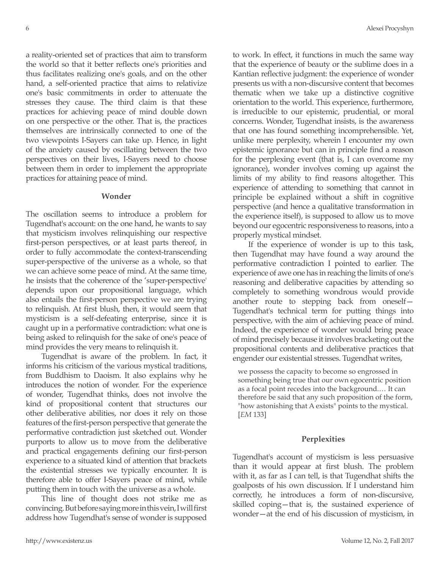a reality-oriented set of practices that aim to transform the world so that it better reflects one's priorities and thus facilitates realizing one's goals, and on the other hand, a self-oriented practice that aims to relativize one's basic commitments in order to attenuate the stresses they cause. The third claim is that these practices for achieving peace of mind double down on one perspective or the other. That is, the practices themselves are intrinsically connected to one of the two viewpoints I-Sayers can take up. Hence, in light of the anxiety caused by oscillating between the two perspectives on their lives, I-Sayers need to choose between them in order to implement the appropriate practices for attaining peace of mind.

#### **Wonder**

The oscillation seems to introduce a problem for Tugendhat's account: on the one hand, he wants to say that mysticism involves relinquishing our respective first-person perspectives, or at least parts thereof, in order to fully accommodate the context-transcending super-perspective of the universe as a whole, so that we can achieve some peace of mind. At the same time, he insists that the coherence of the 'super-perspective' depends upon our propositional language, which also entails the first-person perspective we are trying to relinquish. At first blush, then, it would seem that mysticism is a self-defeating enterprise, since it is caught up in a performative contradiction: what one is being asked to relinquish for the sake of one's peace of mind provides the very means to relinquish it.

Tugendhat is aware of the problem. In fact, it informs his criticism of the various mystical traditions, from Buddhism to Daoism. It also explains why he introduces the notion of wonder. For the experience of wonder, Tugendhat thinks, does not involve the kind of propositional content that structures our other deliberative abilities, nor does it rely on those features of the first-person perspective that generate the performative contradiction just sketched out. Wonder purports to allow us to move from the deliberative and practical engagements defining our first-person experience to a situated kind of attention that brackets the existential stresses we typically encounter. It is therefore able to offer I-Sayers peace of mind, while putting them in touch with the universe as a whole.

This line of thought does not strike me as convincing. But before saying more in this vein, I will first address how Tugendhat's sense of wonder is supposed to work. In effect, it functions in much the same way that the experience of beauty or the sublime does in a Kantian reflective judgment: the experience of wonder presents us with a non-discursive content that becomes thematic when we take up a distinctive cognitive orientation to the world. This experience, furthermore, is irreducible to our epistemic, prudential, or moral concerns. Wonder, Tugendhat insists, is the awareness that one has found something incomprehensible. Yet, unlike mere perplexity, wherein I encounter my own epistemic ignorance but can in principle find a reason for the perplexing event (that is, I can overcome my ignorance), wonder involves coming up against the limits of my ability to find reasons altogether. This experience of attending to something that cannot in principle be explained without a shift in cognitive perspective (and hence a qualitative transformation in the experience itself), is supposed to allow us to move beyond our egocentric responsiveness to reasons, into a properly mystical mindset.

If the experience of wonder is up to this task, then Tugendhat may have found a way around the performative contradiction I pointed to earlier. The experience of awe one has in reaching the limits of one's reasoning and deliberative capacities by attending so completely to something wondrous would provide another route to stepping back from oneself— Tugendhat's technical term for putting things into perspective, with the aim of achieving peace of mind. Indeed, the experience of wonder would bring peace of mind precisely because it involves bracketing out the propositional contents and deliberative practices that engender our existential stresses. Tugendhat writes,

we possess the capacity to become so engrossed in something being true that our own egocentric position as a focal point recedes into the background.… It can therefore be said that any such proposition of the form, "how astonishing that A exists" points to the mystical. [*EM* 133]

#### **Perplexities**

Tugendhat's account of mysticism is less persuasive than it would appear at first blush. The problem with it, as far as I can tell, is that Tugendhat shifts the goalposts of his own discussion. If I understand him correctly, he introduces a form of non-discursive, skilled coping—that is, the sustained experience of wonder—at the end of his discussion of mysticism, in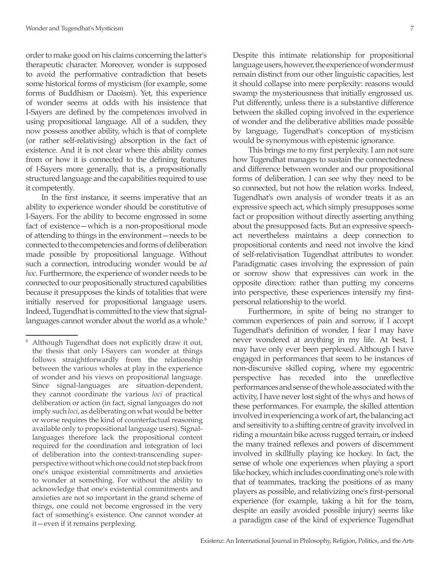order to make good on his claims concerning the latter's therapeutic character. Moreover, wonder is supposed to avoid the performative contradiction that besets some historical forms of mysticism (for example, some forms of Buddhism or Daoism). Yet, this experience of wonder seems at odds with his insistence that I-Sayers are defined by the competences involved in using propositional language. All of a sudden, they now possess another ability, which is that of complete (or rather self-relativising) absorption in the fact of existence. And it is not clear where this ability comes from or how it is connected to the defining features of I-Sayers more generally, that is, a propositionally structured language and the capabilities required to use it competently.

In the first instance, it seems imperative that an ability to experience wonder should be constitutive of I-Sayers. For the ability to become engrossed in some fact of existence—which is a non-propositional mode of attending to things in the environment—needs to be connected to the competencies and forms of deliberation made possible by propositional language. Without such a connection, introducing wonder would be *ad hoc*. Furthermore, the experience of wonder needs to be connected to our propositionally structured capabilities because it presupposes the kinds of totalities that were initially reserved for propositional language users. Indeed, Tugendhat is committed to the view that signallanguages cannot wonder about the world as a whole.<sup>6</sup>

Despite this intimate relationship for propositional language users, however, the experience of wonder must remain distinct from our other linguistic capacities, lest it should collapse into mere perplexity: reasons would swamp the mysteriousness that initially engrossed us. Put differently, unless there is a substantive difference between the skilled coping involved in the experience of wonder and the deliberative abilities made possible by language, Tugendhat's conception of mysticism would be synonymous with epistemic ignorance.

This brings me to my first perplexity. I am not sure how Tugendhat manages to sustain the connectedness and difference between wonder and our propositional forms of deliberation. I can see why they need to be so connected, but not how the relation works. Indeed, Tugendhat's own analysis of wonder treats it as an expressive speech act, which simply presupposes some fact or proposition without directly asserting anything about the presupposed facts. But an expressive speechact nevertheless maintains a deep connection to propositional contents and need not involve the kind of self-relativisation Tugendhat attributes to wonder. Paradigmatic cases involving the expression of pain or sorrow show that expressives can work in the opposite direction: rather than putting my concerns into perspective, these experiences intensify my firstpersonal relationship to the world.

Furthermore, in spite of being no stranger to common experiences of pain and sorrow, if I accept Tugendhat's definition of wonder, I fear I may have never wondered at anything in my life. At best, I may have only ever been perplexed. Although I have engaged in performances that seem to be instances of non-discursive skilled coping, where my egocentric perspective has receded into the unreflective performances and sense of the whole associated with the activity, I have never lost sight of the whys and hows of these performances. For example, the skilled attention involved in experiencing a work of art, the balancing act and sensitivity to a shifting centre of gravity involved in riding a mountain bike across rugged terrain, or indeed the many trained reflexes and powers of discernment involved in skillfully playing ice hockey. In fact, the sense of whole one experiences when playing a sport like hockey, which includes coordinating one's role with that of teammates, tracking the positions of as many players as possible, and relativizing one's first-personal experience (for example, taking a hit for the team, despite an easily avoided possible injury) seems like a paradigm case of the kind of experience Tugendhat

Although Tugendhat does not explicitly draw it out, the thesis that only I-Sayers can wonder at things follows straightforwardly from the relationship between the various wholes at play in the experience of wonder and his views on propositional language. Since signal-languages are situation-dependent, they cannot coordinate the various *loci* of practical deliberation or action (in fact, signal languages do not imply such *loci*, as deliberating on what would be better or worse requires the kind of counterfactual reasoning available only to propositional language users). Signallanguages therefore lack the propositional content required for the coordination and integration of loci of deliberation into the context-transcending superperspective without which one could not step back from one's unique existential commitments and anxieties to wonder at something. For without the ability to acknowledge that one's existential commitments and anxieties are not so important in the grand scheme of things, one could not become engrossed in the very fact of something's existence. One cannot wonder at it—even if it remains perplexing.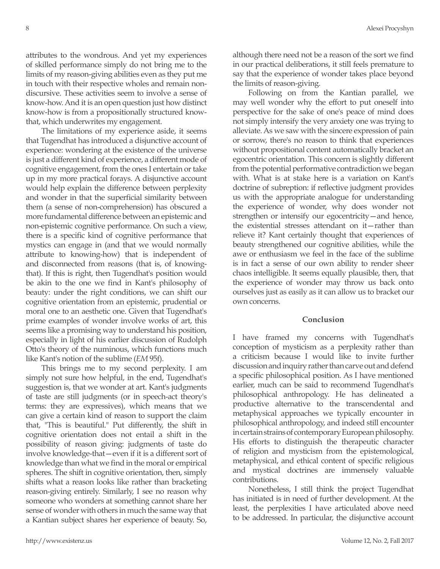attributes to the wondrous. And yet my experiences of skilled performance simply do not bring me to the limits of my reason-giving abilities even as they put me in touch with their respective wholes and remain nondiscursive. These activities seem to involve a sense of know-how. And it is an open question just how distinct know-how is from a propositionally structured knowthat, which underwrites my engagement.

The limitations of my experience aside, it seems that Tugendhat has introduced a disjunctive account of experience: wondering at the existence of the universe is just a different kind of experience, a different mode of cognitive engagement, from the ones I entertain or take up in my more practical forays. A disjunctive account would help explain the difference between perplexity and wonder in that the superficial similarity between them (a sense of non-comprehension) has obscured a more fundamental difference between an epistemic and non-epistemic cognitive performance. On such a view, there is a specific kind of cognitive performance that mystics can engage in (and that we would normally attribute to knowing-how) that is independent of and disconnected from reasons (that is, of knowingthat). If this is right, then Tugendhat's position would be akin to the one we find in Kant's philosophy of beauty: under the right conditions, we can shift our cognitive orientation from an epistemic, prudential or moral one to an aesthetic one. Given that Tugendhat's prime examples of wonder involve works of art, this seems like a promising way to understand his position, especially in light of his earlier discussion of Rudolph Otto's theory of the numinous, which functions much like Kant's notion of the sublime (*EM* 95f).

This brings me to my second perplexity. I am simply not sure how helpful, in the end, Tugendhat's suggestion is, that we wonder at art. Kant's judgments of taste are still judgments (or in speech-act theory's terms: they are expressives), which means that we can give a certain kind of reason to support the claim that, "This is beautiful." Put differently, the shift in cognitive orientation does not entail a shift in the possibility of reason giving: judgments of taste do involve knowledge-that—even if it is a different sort of knowledge than what we find in the moral or empirical spheres. The shift in cognitive orientation, then, simply shifts what a reason looks like rather than bracketing reason-giving entirely. Similarly, I see no reason why someone who wonders at something cannot share her sense of wonder with others in much the same way that a Kantian subject shares her experience of beauty. So, although there need not be a reason of the sort we find in our practical deliberations, it still feels premature to say that the experience of wonder takes place beyond the limits of reason-giving.

Following on from the Kantian parallel, we may well wonder why the effort to put oneself into perspective for the sake of one's peace of mind does not simply intensify the very anxiety one was trying to alleviate. As we saw with the sincere expression of pain or sorrow, there's no reason to think that experiences without propositional content automatically bracket an egocentric orientation. This concern is slightly different from the potential performative contradiction we began with. What is at stake here is a variation on Kant's doctrine of subreption: if reflective judgment provides us with the appropriate analogue for understanding the experience of wonder, why does wonder not strengthen or intensify our egocentricity—and hence, the existential stresses attendant on it—rather than relieve it? Kant certainly thought that experiences of beauty strengthened our cognitive abilities, while the awe or enthusiasm we feel in the face of the sublime is in fact a sense of our own ability to render sheer chaos intelligible. It seems equally plausible, then, that the experience of wonder may throw us back onto ourselves just as easily as it can allow us to bracket our own concerns.

## **Conclusion**

I have framed my concerns with Tugendhat's conception of mysticism as a perplexity rather than a criticism because I would like to invite further discussion and inquiry rather than carve out and defend a specific philosophical position. As I have mentioned earlier, much can be said to recommend Tugendhat's philosophical anthropology. He has delineated a productive alternative to the transcendental and metaphysical approaches we typically encounter in philosophical anthropology, and indeed still encounter in certain strains of contemporary European philosophy. His efforts to distinguish the therapeutic character of religion and mysticism from the epistemological, metaphysical, and ethical content of specific religious and mystical doctrines are immensely valuable contributions.

Nonetheless, I still think the project Tugendhat has initiated is in need of further development. At the least, the perplexities I have articulated above need to be addressed. In particular, the disjunctive account